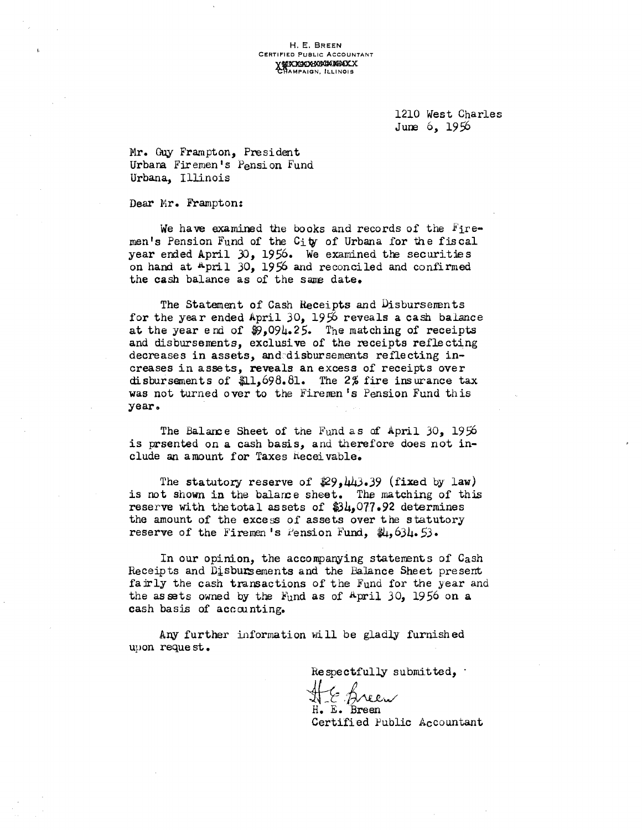H. E. BREEN CERTIFIED PUBLIC ACCOUNTANT<br>
Y PLAYED NAMES CHAMPAIGN, ILLINOIS

> 1210 West Charles June 6, 1956

Mr. Guy Frampton, President Urbana Firemen's Pension Fund Urbana, Illinois

Dear Hr. Frampton:

We have examined the books and records of the  $r_{\text{if}}$ men's Pension Fund of the City of Urbana for the fiscal year ended April  $30$ , 1956. We examined the securities on hand at April 30, 1956 and reconciled and confirmed the cash balance as of the same date.

The Statement of Cash Receipts and Disbursements for the year ended April 30, 1956 reveals a cash balance at the year end of  $$9,094.25$ . The matching of receipts and disbursements, exclusive of the receipts reflecting decreases in assets, and disbursements reflecting increases in assets, reveals an excess of receipts over disbursements of \$1,698.81. The 2% fire insurance tax was not turned over to the Firemen's Pension Fund this year.

The Balance Sheet of the Fund as of April 30, 1956 is prsented on a cash basis, and therefore does not include an amount for Taxes hecei vable.

The statutory reserve of  $29,443.39$  (fixed by law) is not shown in the balarce sheet. The matching of this reserve with the total assets of  $$34,077.92$  determines the amount of the excess of assets over the statutory reserve of the Firemen's Pension Fund,  $\frac{1}{2}$ ,  $\frac{1}{2}$ .

In our opinion, the accompanying statenents of Cash Receipts and Disbursements and the Balance Sheet present fairly the cash transactions of the Fund for the year and the assets owned by the  $Fund$  as of April 30, 1956 on a cash basis of accounting.

Any further information will be gladly furnished upon reque st •

Respectfully submitted,

ti,~Vv'v/ H. E. Breen Certified Public Accountant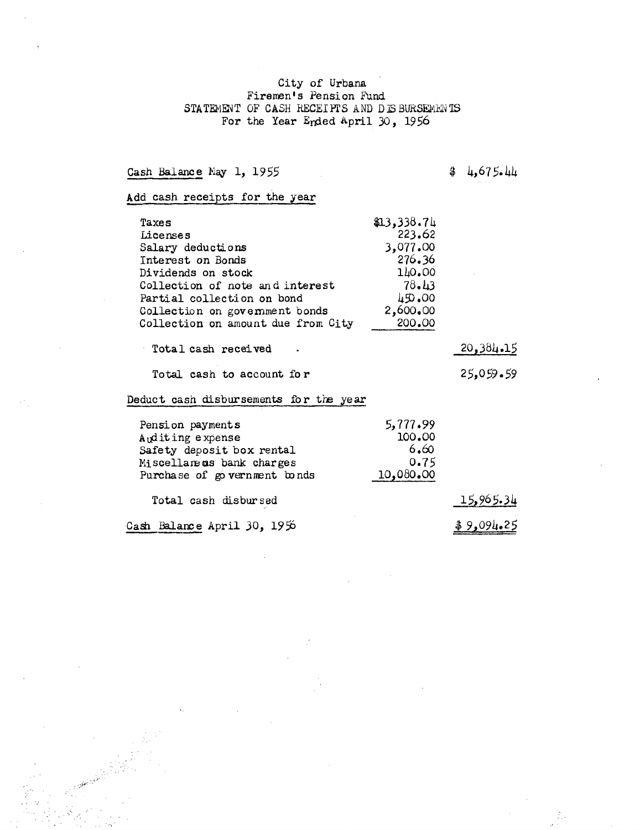## City of Urbana<br>Firemen's Pension Fund STATEMENT OF CASH RECEIPTS AND DIS BURSEMENTS For the Year Ended April 30, 1956

Cash Balance May 1, 1955

 $4,675.44$ 

Add cash receipts for the year

| Taxes                                  | \$13,338.74 |           |
|----------------------------------------|-------------|-----------|
| Licenses                               | 223.62      |           |
| Salary deductions                      | 3,077.00    |           |
| Interest on Bonds                      | 276.36      |           |
| Dividends on stock                     | 140.00      |           |
| Collection of note and interest        | 78.43       |           |
| Partial collection on bond             | 450.00      |           |
| Collection on government bonds         | 2,600.00    |           |
| Collection on amount due from City     | 200.00      |           |
| Total cash received                    |             | 20,384.15 |
| Total cash to account for              |             | 25,059.59 |
| Deduct cash disbursements for the year |             |           |
| Pension payments                       | 5,777.99    |           |
| Auditing expense                       | 100.00      |           |
| Safety deposit box rental              | 6.60        |           |
| Miscellaneus bank charges              | 0.75        |           |
| Purchase of government bonds           | 10,080.00   |           |

15,965.34 Total cash disbursed

Cash Balance April 30, 1956

 $$9,094.25$ 

 $\mathcal{E}_{\rm{c}}$  ,